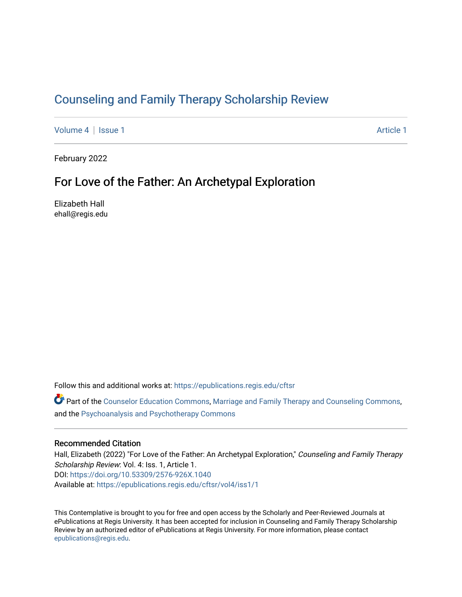# [Counseling and Family Therapy Scholarship Review](https://epublications.regis.edu/cftsr)

[Volume 4](https://epublications.regis.edu/cftsr/vol4) | [Issue 1](https://epublications.regis.edu/cftsr/vol4/iss1) Article 1

February 2022

## For Love of the Father: An Archetypal Exploration

Elizabeth Hall ehall@regis.edu

Follow this and additional works at: [https://epublications.regis.edu/cftsr](https://epublications.regis.edu/cftsr?utm_source=epublications.regis.edu%2Fcftsr%2Fvol4%2Fiss1%2F1&utm_medium=PDF&utm_campaign=PDFCoverPages) 

Part of the [Counselor Education Commons,](http://network.bepress.com/hgg/discipline/1278?utm_source=epublications.regis.edu%2Fcftsr%2Fvol4%2Fiss1%2F1&utm_medium=PDF&utm_campaign=PDFCoverPages) [Marriage and Family Therapy and Counseling Commons,](http://network.bepress.com/hgg/discipline/715?utm_source=epublications.regis.edu%2Fcftsr%2Fvol4%2Fiss1%2F1&utm_medium=PDF&utm_campaign=PDFCoverPages) and the [Psychoanalysis and Psychotherapy Commons](http://network.bepress.com/hgg/discipline/716?utm_source=epublications.regis.edu%2Fcftsr%2Fvol4%2Fiss1%2F1&utm_medium=PDF&utm_campaign=PDFCoverPages)

### Recommended Citation

Hall, Elizabeth (2022) "For Love of the Father: An Archetypal Exploration," Counseling and Family Therapy Scholarship Review: Vol. 4: Iss. 1, Article 1. DOI:<https://doi.org/10.53309/2576-926X.1040> Available at: [https://epublications.regis.edu/cftsr/vol4/iss1/1](https://epublications.regis.edu/cftsr/vol4/iss1/1?utm_source=epublications.regis.edu%2Fcftsr%2Fvol4%2Fiss1%2F1&utm_medium=PDF&utm_campaign=PDFCoverPages)

This Contemplative is brought to you for free and open access by the Scholarly and Peer-Reviewed Journals at ePublications at Regis University. It has been accepted for inclusion in Counseling and Family Therapy Scholarship Review by an authorized editor of ePublications at Regis University. For more information, please contact [epublications@regis.edu.](mailto:epublications@regis.edu)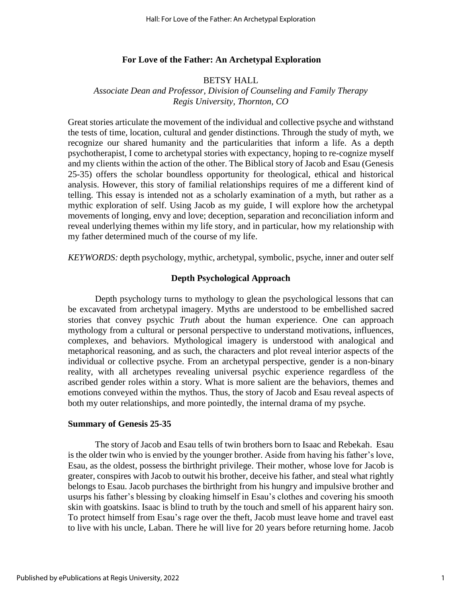## **For Love of the Father: An Archetypal Exploration**

## BETSY HALL

## *Associate Dean and Professor, Division of Counseling and Family Therapy Regis University, Thornton, CO*

Great stories articulate the movement of the individual and collective psyche and withstand the tests of time, location, cultural and gender distinctions. Through the study of myth, we recognize our shared humanity and the particularities that inform a life. As a depth psychotherapist, I come to archetypal stories with expectancy, hoping to re-cognize myself and my clients within the action of the other. The Biblical story of Jacob and Esau (Genesis 25-35) offers the scholar boundless opportunity for theological, ethical and historical analysis. However, this story of familial relationships requires of me a different kind of telling. This essay is intended not as a scholarly examination of a myth, but rather as a mythic exploration of self. Using Jacob as my guide, I will explore how the archetypal movements of longing, envy and love; deception, separation and reconciliation inform and reveal underlying themes within my life story, and in particular, how my relationship with my father determined much of the course of my life.

*KEYWORDS:* depth psychology, mythic, archetypal, symbolic, psyche, inner and outer self

### **Depth Psychological Approach**

Depth psychology turns to mythology to glean the psychological lessons that can be excavated from archetypal imagery. Myths are understood to be embellished sacred stories that convey psychic *Truth* about the human experience. One can approach mythology from a cultural or personal perspective to understand motivations, influences, complexes, and behaviors. Mythological imagery is understood with analogical and metaphorical reasoning, and as such, the characters and plot reveal interior aspects of the individual or collective psyche. From an archetypal perspective, gender is a non-binary reality, with all archetypes revealing universal psychic experience regardless of the ascribed gender roles within a story. What is more salient are the behaviors, themes and emotions conveyed within the mythos. Thus, the story of Jacob and Esau reveal aspects of both my outer relationships, and more pointedly, the internal drama of my psyche.

#### **Summary of Genesis 25-35**

The story of Jacob and Esau tells of twin brothers born to Isaac and Rebekah. Esau is the older twin who is envied by the younger brother. Aside from having his father's love, Esau, as the oldest, possess the birthright privilege. Their mother, whose love for Jacob is greater, conspires with Jacob to outwit his brother, deceive his father, and steal what rightly belongs to Esau. Jacob purchases the birthright from his hungry and impulsive brother and usurps his father's blessing by cloaking himself in Esau's clothes and covering his smooth skin with goatskins. Isaac is blind to truth by the touch and smell of his apparent hairy son. To protect himself from Esau's rage over the theft, Jacob must leave home and travel east to live with his uncle, Laban. There he will live for 20 years before returning home. Jacob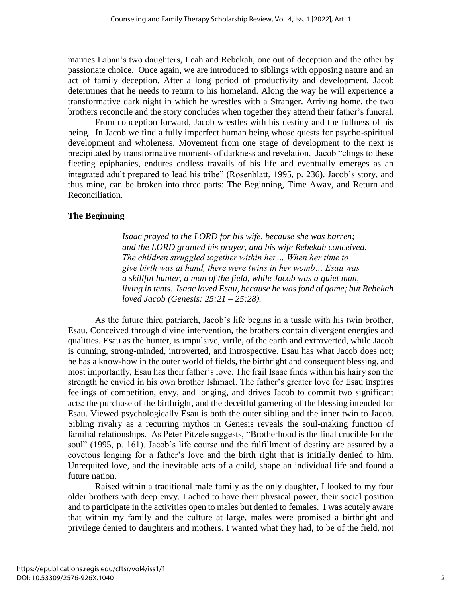marries Laban's two daughters, Leah and Rebekah, one out of deception and the other by passionate choice. Once again, we are introduced to siblings with opposing nature and an act of family deception. After a long period of productivity and development, Jacob determines that he needs to return to his homeland. Along the way he will experience a transformative dark night in which he wrestles with a Stranger. Arriving home, the two brothers reconcile and the story concludes when together they attend their father's funeral.

From conception forward, Jacob wrestles with his destiny and the fullness of his being. In Jacob we find a fully imperfect human being whose quests for psycho-spiritual development and wholeness. Movement from one stage of development to the next is precipitated by transformative moments of darkness and revelation. Jacob "clings to these fleeting epiphanies, endures endless travails of his life and eventually emerges as an integrated adult prepared to lead his tribe" (Rosenblatt, 1995, p. 236). Jacob's story, and thus mine, can be broken into three parts: The Beginning, Time Away, and Return and Reconciliation.

### **The Beginning**

*Isaac prayed to the LORD for his wife, because she was barren; and the LORD granted his prayer, and his wife Rebekah conceived. The children struggled together within her… When her time to give birth was at hand, there were twins in her womb… Esau was a skillful hunter, a man of the field, while Jacob was a quiet man, living in tents. Isaac loved Esau, because he was fond of game; but Rebekah loved Jacob (Genesis: 25:21 – 25:28).*

As the future third patriarch, Jacob's life begins in a tussle with his twin brother, Esau. Conceived through divine intervention, the brothers contain divergent energies and qualities. Esau as the hunter, is impulsive, virile, of the earth and extroverted, while Jacob is cunning, strong-minded, introverted, and introspective. Esau has what Jacob does not; he has a know-how in the outer world of fields, the birthright and consequent blessing, and most importantly, Esau has their father's love. The frail Isaac finds within his hairy son the strength he envied in his own brother Ishmael. The father's greater love for Esau inspires feelings of competition, envy, and longing, and drives Jacob to commit two significant acts: the purchase of the birthright, and the deceitful garnering of the blessing intended for Esau. Viewed psychologically Esau is both the outer sibling and the inner twin to Jacob. Sibling rivalry as a recurring mythos in Genesis reveals the soul-making function of familial relationships. As Peter Pitzele suggests, "Brotherhood is the final crucible for the soul" (1995, p. 161). Jacob's life course and the fulfillment of destiny are assured by a covetous longing for a father's love and the birth right that is initially denied to him. Unrequited love, and the inevitable acts of a child, shape an individual life and found a future nation.

Raised within a traditional male family as the only daughter, I looked to my four older brothers with deep envy. I ached to have their physical power, their social position and to participate in the activities open to males but denied to females. I was acutely aware that within my family and the culture at large, males were promised a birthright and privilege denied to daughters and mothers. I wanted what they had, to be of the field, not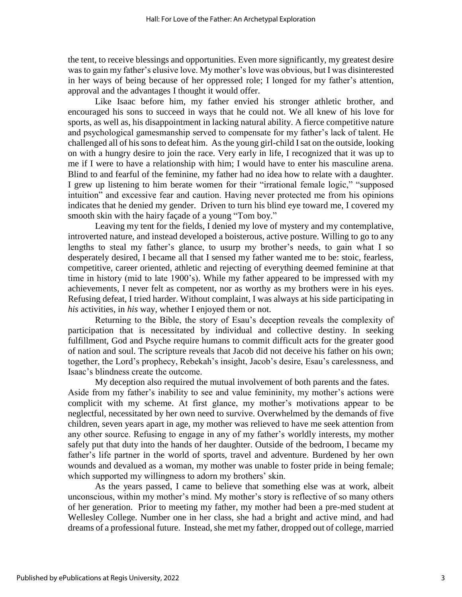the tent, to receive blessings and opportunities. Even more significantly, my greatest desire was to gain my father's elusive love. My mother's love was obvious, but I was disinterested in her ways of being because of her oppressed role; I longed for my father's attention, approval and the advantages I thought it would offer.

Like Isaac before him, my father envied his stronger athletic brother, and encouraged his sons to succeed in ways that he could not. We all knew of his love for sports, as well as, his disappointment in lacking natural ability. A fierce competitive nature and psychological gamesmanship served to compensate for my father's lack of talent. He challenged all of his sons to defeat him. As the young girl-child I sat on the outside, looking on with a hungry desire to join the race. Very early in life, I recognized that it was up to me if I were to have a relationship with him; I would have to enter his masculine arena. Blind to and fearful of the feminine, my father had no idea how to relate with a daughter. I grew up listening to him berate women for their "irrational female logic," "supposed intuition" and excessive fear and caution. Having never protected me from his opinions indicates that he denied my gender. Driven to turn his blind eye toward me, I covered my smooth skin with the hairy façade of a young "Tom boy."

Leaving my tent for the fields, I denied my love of mystery and my contemplative, introverted nature, and instead developed a boisterous, active posture. Willing to go to any lengths to steal my father's glance, to usurp my brother's needs, to gain what I so desperately desired, I became all that I sensed my father wanted me to be: stoic, fearless, competitive, career oriented, athletic and rejecting of everything deemed feminine at that time in history (mid to late 1900's). While my father appeared to be impressed with my achievements, I never felt as competent, nor as worthy as my brothers were in his eyes. Refusing defeat, I tried harder. Without complaint, I was always at his side participating in *his* activities, in *his* way, whether I enjoyed them or not.

Returning to the Bible, the story of Esau's deception reveals the complexity of participation that is necessitated by individual and collective destiny. In seeking fulfillment, God and Psyche require humans to commit difficult acts for the greater good of nation and soul. The scripture reveals that Jacob did not deceive his father on his own; together, the Lord's prophecy, Rebekah's insight, Jacob's desire, Esau's carelessness, and Isaac's blindness create the outcome.

My deception also required the mutual involvement of both parents and the fates. Aside from my father's inability to see and value femininity, my mother's actions were complicit with my scheme. At first glance, my mother's motivations appear to be neglectful, necessitated by her own need to survive. Overwhelmed by the demands of five children, seven years apart in age, my mother was relieved to have me seek attention from any other source. Refusing to engage in any of my father's worldly interests, my mother safely put that duty into the hands of her daughter. Outside of the bedroom, I became my father's life partner in the world of sports, travel and adventure. Burdened by her own wounds and devalued as a woman, my mother was unable to foster pride in being female; which supported my willingness to adorn my brothers' skin.

As the years passed, I came to believe that something else was at work, albeit unconscious, within my mother's mind. My mother's story is reflective of so many others of her generation. Prior to meeting my father, my mother had been a pre-med student at Wellesley College. Number one in her class, she had a bright and active mind, and had dreams of a professional future. Instead, she met my father, dropped out of college, married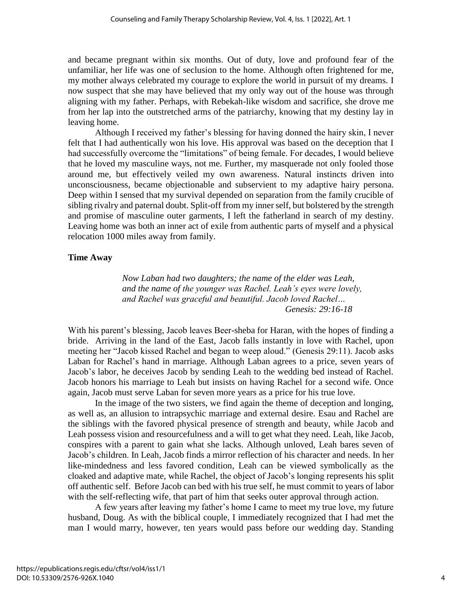and became pregnant within six months. Out of duty, love and profound fear of the unfamiliar, her life was one of seclusion to the home. Although often frightened for me, my mother always celebrated my courage to explore the world in pursuit of my dreams. I now suspect that she may have believed that my only way out of the house was through aligning with my father. Perhaps, with Rebekah-like wisdom and sacrifice, she drove me from her lap into the outstretched arms of the patriarchy, knowing that my destiny lay in leaving home.

Although I received my father's blessing for having donned the hairy skin, I never felt that I had authentically won his love. His approval was based on the deception that I had successfully overcome the "limitations" of being female. For decades, I would believe that he loved my masculine ways, not me. Further, my masquerade not only fooled those around me, but effectively veiled my own awareness. Natural instincts driven into unconsciousness, became objectionable and subservient to my adaptive hairy persona. Deep within I sensed that my survival depended on separation from the family crucible of sibling rivalry and paternal doubt. Split-off from my inner self, but bolstered by the strength and promise of masculine outer garments, I left the fatherland in search of my destiny. Leaving home was both an inner act of exile from authentic parts of myself and a physical relocation 1000 miles away from family.

## **Time Away**

*Now Laban had two daughters; the name of the elder was Leah, and the name of the younger was Rachel. Leah's eyes were lovely, and Rachel was graceful and beautiful. Jacob loved Rachel… Genesis: 29:16-18*

With his parent's blessing, Jacob leaves Beer-sheba for Haran, with the hopes of finding a bride. Arriving in the land of the East, Jacob falls instantly in love with Rachel, upon meeting her "Jacob kissed Rachel and began to weep aloud." (Genesis 29:11). Jacob asks Laban for Rachel's hand in marriage. Although Laban agrees to a price, seven years of Jacob's labor, he deceives Jacob by sending Leah to the wedding bed instead of Rachel. Jacob honors his marriage to Leah but insists on having Rachel for a second wife. Once again, Jacob must serve Laban for seven more years as a price for his true love.

In the image of the two sisters, we find again the theme of deception and longing, as well as, an allusion to intrapsychic marriage and external desire. Esau and Rachel are the siblings with the favored physical presence of strength and beauty, while Jacob and Leah possess vision and resourcefulness and a will to get what they need. Leah, like Jacob, conspires with a parent to gain what she lacks. Although unloved, Leah bares seven of Jacob's children. In Leah, Jacob finds a mirror reflection of his character and needs. In her like-mindedness and less favored condition, Leah can be viewed symbolically as the cloaked and adaptive mate, while Rachel, the object of Jacob's longing represents his split off authentic self. Before Jacob can bed with his true self, he must commit to years of labor with the self-reflecting wife, that part of him that seeks outer approval through action.

A few years after leaving my father's home I came to meet my true love, my future husband, Doug. As with the biblical couple, I immediately recognized that I had met the man I would marry, however, ten years would pass before our wedding day. Standing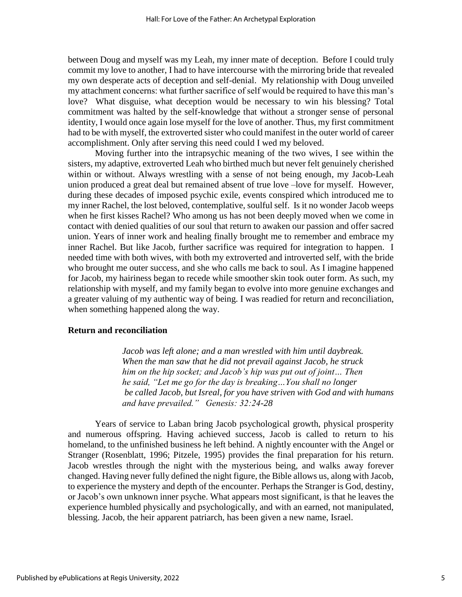between Doug and myself was my Leah, my inner mate of deception. Before I could truly commit my love to another, I had to have intercourse with the mirroring bride that revealed my own desperate acts of deception and self-denial. My relationship with Doug unveiled my attachment concerns: what further sacrifice of self would be required to have this man's love? What disguise, what deception would be necessary to win his blessing? Total commitment was halted by the self-knowledge that without a stronger sense of personal identity, I would once again lose myself for the love of another. Thus, my first commitment had to be with myself, the extroverted sister who could manifest in the outer world of career accomplishment. Only after serving this need could I wed my beloved.

Moving further into the intrapsychic meaning of the two wives, I see within the sisters, my adaptive, extroverted Leah who birthed much but never felt genuinely cherished within or without. Always wrestling with a sense of not being enough, my Jacob-Leah union produced a great deal but remained absent of true love –love for myself. However, during these decades of imposed psychic exile, events conspired which introduced me to my inner Rachel, the lost beloved, contemplative, soulful self. Is it no wonder Jacob weeps when he first kisses Rachel? Who among us has not been deeply moved when we come in contact with denied qualities of our soul that return to awaken our passion and offer sacred union. Years of inner work and healing finally brought me to remember and embrace my inner Rachel. But like Jacob, further sacrifice was required for integration to happen. I needed time with both wives, with both my extroverted and introverted self, with the bride who brought me outer success, and she who calls me back to soul. As I imagine happened for Jacob, my hairiness began to recede while smoother skin took outer form. As such, my relationship with myself, and my family began to evolve into more genuine exchanges and a greater valuing of my authentic way of being. I was readied for return and reconciliation, when something happened along the way.

#### **Return and reconciliation**

*Jacob was left alone; and a man wrestled with him until daybreak. When the man saw that he did not prevail against Jacob, he struck him on the hip socket; and Jacob's hip was put out of joint… Then he said, "Let me go for the day is breaking…You shall no longer be called Jacob, but Isreal, for you have striven with God and with humans and have prevailed." Genesis: 32:24-28*

Years of service to Laban bring Jacob psychological growth, physical prosperity and numerous offspring. Having achieved success, Jacob is called to return to his homeland, to the unfinished business he left behind. A nightly encounter with the Angel or Stranger (Rosenblatt, 1996; Pitzele, 1995) provides the final preparation for his return. Jacob wrestles through the night with the mysterious being, and walks away forever changed. Having never fully defined the night figure, the Bible allows us, along with Jacob, to experience the mystery and depth of the encounter. Perhaps the Stranger is God, destiny, or Jacob's own unknown inner psyche. What appears most significant, is that he leaves the experience humbled physically and psychologically, and with an earned, not manipulated, blessing. Jacob, the heir apparent patriarch, has been given a new name, Israel.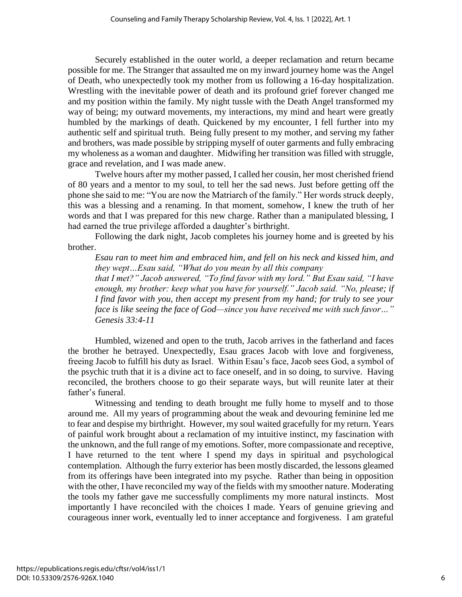Securely established in the outer world, a deeper reclamation and return became possible for me. The Stranger that assaulted me on my inward journey home was the Angel of Death, who unexpectedly took my mother from us following a 16-day hospitalization. Wrestling with the inevitable power of death and its profound grief forever changed me and my position within the family. My night tussle with the Death Angel transformed my way of being; my outward movements, my interactions, my mind and heart were greatly humbled by the markings of death. Quickened by my encounter, I fell further into my authentic self and spiritual truth. Being fully present to my mother, and serving my father and brothers, was made possible by stripping myself of outer garments and fully embracing my wholeness as a woman and daughter. Midwifing her transition was filled with struggle, grace and revelation, and I was made anew.

Twelve hours after my mother passed, I called her cousin, her most cherished friend of 80 years and a mentor to my soul, to tell her the sad news. Just before getting off the phone she said to me: "You are now the Matriarch of the family." Her words struck deeply, this was a blessing and a renaming. In that moment, somehow, I knew the truth of her words and that I was prepared for this new charge. Rather than a manipulated blessing, I had earned the true privilege afforded a daughter's birthright.

Following the dark night, Jacob completes his journey home and is greeted by his brother.

*Esau ran to meet him and embraced him, and fell on his neck and kissed him, and they wept…Esau said, "What do you mean by all this company that I met?" Jacob answered, "To find favor with my lord." But Esau said, "I have enough, my brother: keep what you have for yourself." Jacob said. "No, please; if I find favor with you, then accept my present from my hand; for truly to see your face is like seeing the face of God—since you have received me with such favor…" Genesis 33:4-11*

Humbled, wizened and open to the truth, Jacob arrives in the fatherland and faces the brother he betrayed. Unexpectedly, Esau graces Jacob with love and forgiveness, freeing Jacob to fulfill his duty as Israel. Within Esau's face, Jacob sees God, a symbol of the psychic truth that it is a divine act to face oneself, and in so doing, to survive. Having reconciled, the brothers choose to go their separate ways, but will reunite later at their father's funeral.

Witnessing and tending to death brought me fully home to myself and to those around me. All my years of programming about the weak and devouring feminine led me to fear and despise my birthright. However, my soul waited gracefully for my return. Years of painful work brought about a reclamation of my intuitive instinct, my fascination with the unknown, and the full range of my emotions. Softer, more compassionate and receptive, I have returned to the tent where I spend my days in spiritual and psychological contemplation. Although the furry exterior has been mostly discarded, the lessons gleamed from its offerings have been integrated into my psyche. Rather than being in opposition with the other, I have reconciled my way of the fields with my smoother nature. Moderating the tools my father gave me successfully compliments my more natural instincts. Most importantly I have reconciled with the choices I made. Years of genuine grieving and courageous inner work, eventually led to inner acceptance and forgiveness. I am grateful